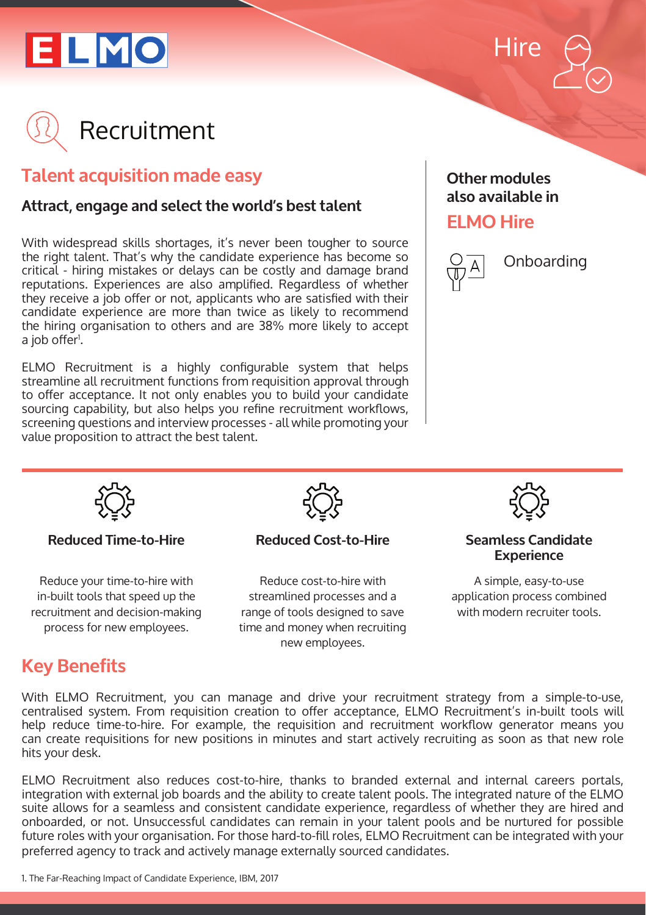





## **Talent acquisition made easy**

### **Attract, engage and select the world's best talent**

With widespread skills shortages, it's never been tougher to source the right talent. That's why the candidate experience has become so critical - hiring mistakes or delays can be costly and damage brand reputations. Experiences are also amplified. Regardless of whether they receive a job offer or not, applicants who are satisfied with their candidate experience are more than twice as likely to recommend the hiring organisation to others and are 38% more likely to accept a job offer<sup>i</sup>.

ELMO Recruitment is a highly configurable system that helps streamline all recruitment functions from requisition approval through to offer acceptance. It not only enables you to build your candidate sourcing capability, but also helps you refine recruitment workflows, screening questions and interview processes - all while promoting your value proposition to attract the best talent.

## **Other modules also available in**

## **ELMO Hire**



Onboarding



#### **Reduced Time-to-Hire**

Reduce your time-to-hire with in-built tools that speed up the recruitment and decision-making process for new employees.



#### **Reduced Cost-to-Hire**

Reduce cost-to-hire with streamlined processes and a range of tools designed to save time and money when recruiting new employees.



#### **Seamless Candidate Experience**

A simple, easy-to-use application process combined with modern recruiter tools.

## **Key Benefits**

With ELMO Recruitment, you can manage and drive your recruitment strategy from a simple-to-use, centralised system. From requisition creation to offer acceptance, ELMO Recruitment's in-built tools will help reduce time-to-hire. For example, the requisition and recruitment workflow generator means you can create requisitions for new positions in minutes and start actively recruiting as soon as that new role hits your desk.

ELMO Recruitment also reduces cost-to-hire, thanks to branded external and internal careers portals, integration with external job boards and the ability to create talent pools. The integrated nature of the ELMO suite allows for a seamless and consistent candidate experience, regardless of whether they are hired and onboarded, or not. Unsuccessful candidates can remain in your talent pools and be nurtured for possible future roles with your organisation. For those hard-to-fill roles, ELMO Recruitment can be integrated with your preferred agency to track and actively manage externally sourced candidates.